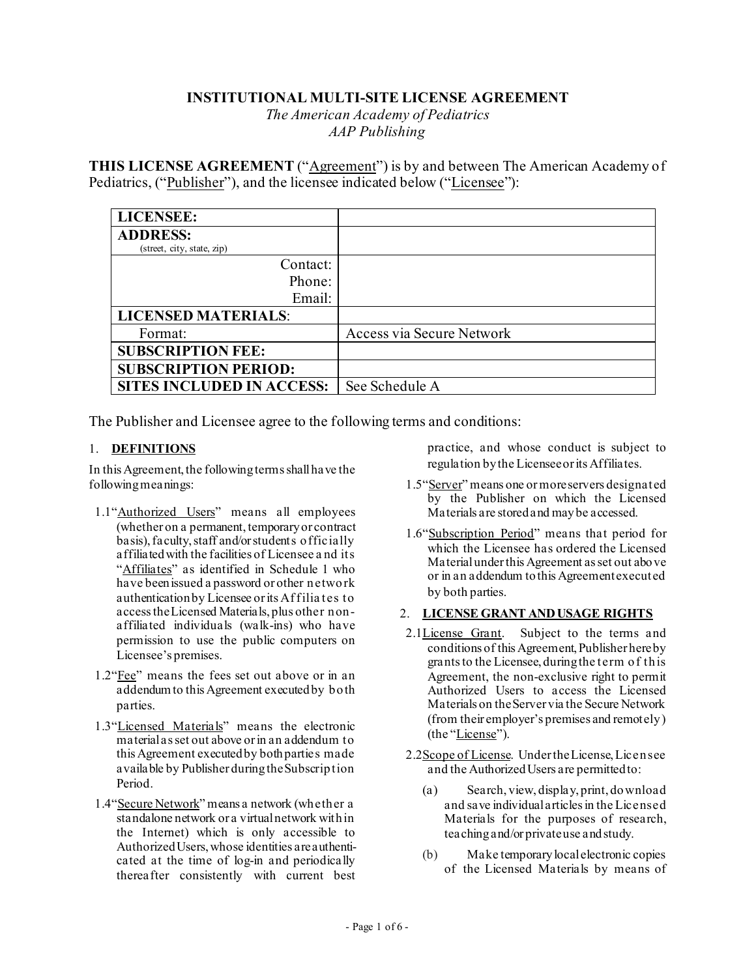## **INSTITUTIONAL MULTI-SITE LICENSE AGREEMENT**

*The American Academy of Pediatrics AAP Publishing* 

**THIS LICENSE AGREEMENT** ("Agreement") is by and between The American Academy of Pediatrics, ("Publisher"), and the licensee indicated below ("Licensee"):

| <b>LICENSEE:</b>                 |                           |
|----------------------------------|---------------------------|
| <b>ADDRESS:</b>                  |                           |
| (street, city, state, zip)       |                           |
| Contact:                         |                           |
| Phone:                           |                           |
| Email:                           |                           |
| <b>LICENSED MATERIALS:</b>       |                           |
| Format:                          | Access via Secure Network |
| <b>SUBSCRIPTION FEE:</b>         |                           |
| <b>SUBSCRIPTION PERIOD:</b>      |                           |
| <b>SITES INCLUDED IN ACCESS:</b> | See Schedule A            |

The Publisher and Licensee agree to the following terms and conditions:

## 1. **DEFINITIONS**

In this Agreement, the following terms shall have the following meanings:

- 1.1"Authorized Users" means all employees (whether on a permanent, temporary or contract basis), faculty, staff and/orstudents officially affiliated with the facilities of Licensee a nd its "Affiliates" as identified in Schedule 1 who have been issued a password or other network authentication by Licensee or its Affilia tes to access the Licensed Materials, plus other nonaffiliated individuals (walk-ins) who have permission to use the public computers on Licensee's premises.
- 1.2"Fee" means the fees set out above or in an addendum to this Agreement executed by both parties.
- 1.3"Licensed Materials" means the electronic material as set out above or in an addendum to this Agreement executed by both parties made available by Publisher during the Subscription Period.
- 1.4"Secure Network" means a network (whether a standalone network or a virtual network within the Internet) which is only accessible to Authorized Users, whose identities are authenticated at the time of log-in and periodically thereafter consistently with current best

practice, and whose conduct is subject to regulation by the Licensee or its Affiliates.

- 1.5"Server" means one or more servers designated by the Publisher on which the Licensed Materials are stored and may be accessed.
- 1.6"Subscription Period" means that period for which the Licensee has ordered the Licensed Material under this Agreement as set out above or in an addendum to this Agreement executed by both parties.

#### 2. **LICENSE GRANT AND USAGE RIGHTS**

- 2.1License Grant. Subject to the terms and conditions of this Agreement, Publisher hereby grants to the Licensee, during the term of this Agreement, the non-exclusive right to permit Authorized Users to access the Licensed Materials on the Server via the Secure Network (from their employer's premises and remotely) (the "License").
- 2.2Scope of License. Under the License, Licensee and the Authorized Users are permitted to:
	- (a) Search, view, display, print, download and save individual articles in the Licensed Materials for the purposes of research, teaching and/or private use and study.
	- (b) Make temporary local electronic copies of the Licensed Materials by means of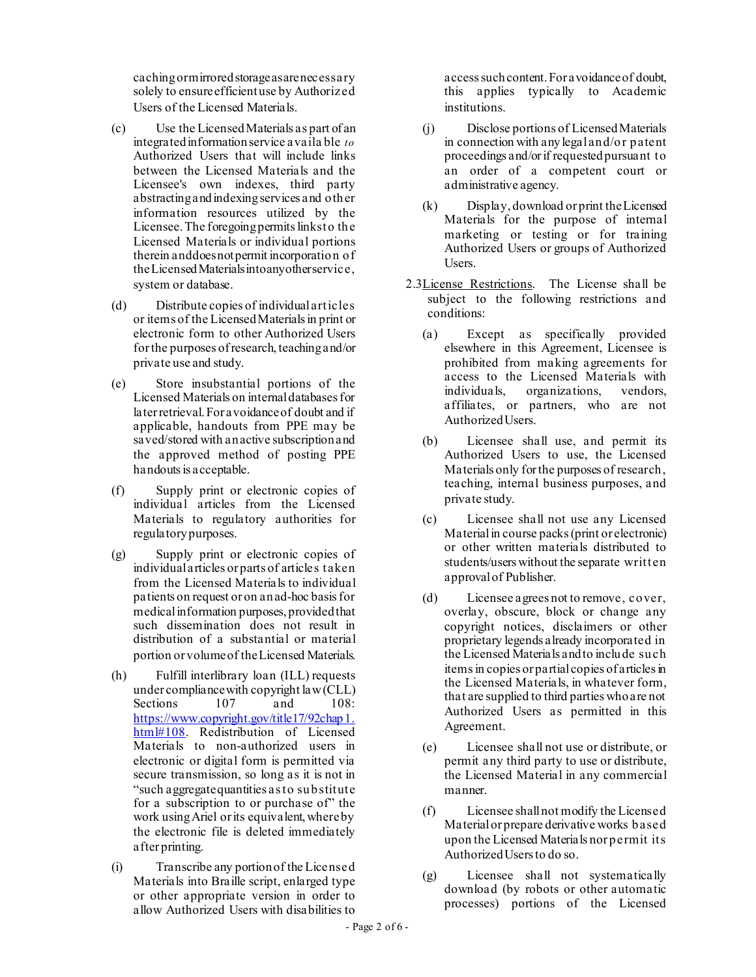caching ormirroredstorageasarenecessary solely to ensure efficient use by Authorized Users of the Licensed Materials.

- (c) Use the Licensed Materials as part of an integrated information service availa ble *to*  Authorized Users that will include links between the Licensed Materials and the Licensee's own indexes, third party abstracting and indexing services and other information resources utilized by the Licensee.The foregoingpermitslinksto the Licensed Materials or individual portions therein anddoesnotpermit incorporation of theLicensedMaterialsintoanyotherservice, system or database.
- (d) Distribute copies of individual articles or items of the Licensed Materials in print or electronic form to other Authorized Users for the purposes of research, teaching and/or private use and study.
- (e) Store insubstantial portions of the Licensed Materials on internal databases for later retrieval.For avoidance of doubt and if applicable, handouts from PPE may be saved/stored with an active subscriptionand the approved method of posting PPE handouts is acceptable.
- (f) Supply print or electronic copies of individual articles from the Licensed Materials to regulatory authorities for regulatory purposes.
- (g) Supply print or electronic copies of individual articles or parts of articles taken from the Licensed Materials to individual patients on request or on an ad-hoc basis for medical information purposes, provided that such dissemination does not result in distribution of a substantial or material portion or volume of the Licensed Materials.
- (h) Fulfill interlibrary loan (ILL) requests under compliancewith copyright law(CLL) Sections 107 and 108: [https://www.copyright.gov/title17/92chap1.](https://www.copyright.gov/title17/92chap1.html#108) [html#108](https://www.copyright.gov/title17/92chap1.html#108). Redistribution of Licensed Materials to non-authorized users in electronic or digital form is permitted via secure transmission, so long as it is not in "such aggregate quantities as to substitute for a subscription to or purchase of" the work usingAriel or its equivalent,whereby the electronic file is deleted immediately after printing.
- (i) Transcribe any portion of the Licensed Materials into Braille script, enlarged type or other appropriate version in order to allow Authorized Users with disabilities to

access such content.For avoidance of doubt, this applies typically to Academic institutions.

- (j) Disclose portions of Licensed Materials in connection with any legal and/or patent proceedings and/or if requested pursuant to an order of a competent court or administrative agency.
- (k) Display, download or print the Licensed Materials for the purpose of internal marketing or testing or for training Authorized Users or groups of Authorized Users.
- 2.3License Restrictions. The License shall be subject to the following restrictions and conditions:
	- (a) Except as specifically provided elsewhere in this Agreement, Licensee is prohibited from making agreements for access to the Licensed Materials with individuals, organizations, vendors, affiliates, or partners, who are not Authorized Users.
	- (b) Licensee shall use, and permit its Authorized Users to use, the Licensed Materials only for the purposes of research, teaching, internal business purposes, and private study.
	- (c) Licensee shall not use any Licensed Material in course packs (print or electronic) or other written materials distributed to students/users without the separate written approval of Publisher.
	- (d) Licensee agrees not to remove, cover, overlay, obscure, block or change any copyright notices, disclaimers or other proprietary legends already incorporated in the Licensed Materials and to include such items in copies or partial copies of articles in the Licensed Materials, in whatever form, that are supplied to third parties who are not Authorized Users as permitted in this Agreement.
	- (e) Licensee shall not use or distribute, or permit any third party to use or distribute, the Licensed Material in any commercial manner.
	- (f) Licensee shall not modify the Licensed Material or prepare derivative works based upon the Licensed Materials nor permit its Authorized Users to do so.
	- (g) Licensee shall not systematically download (by robots or other automatic processes) portions of the Licensed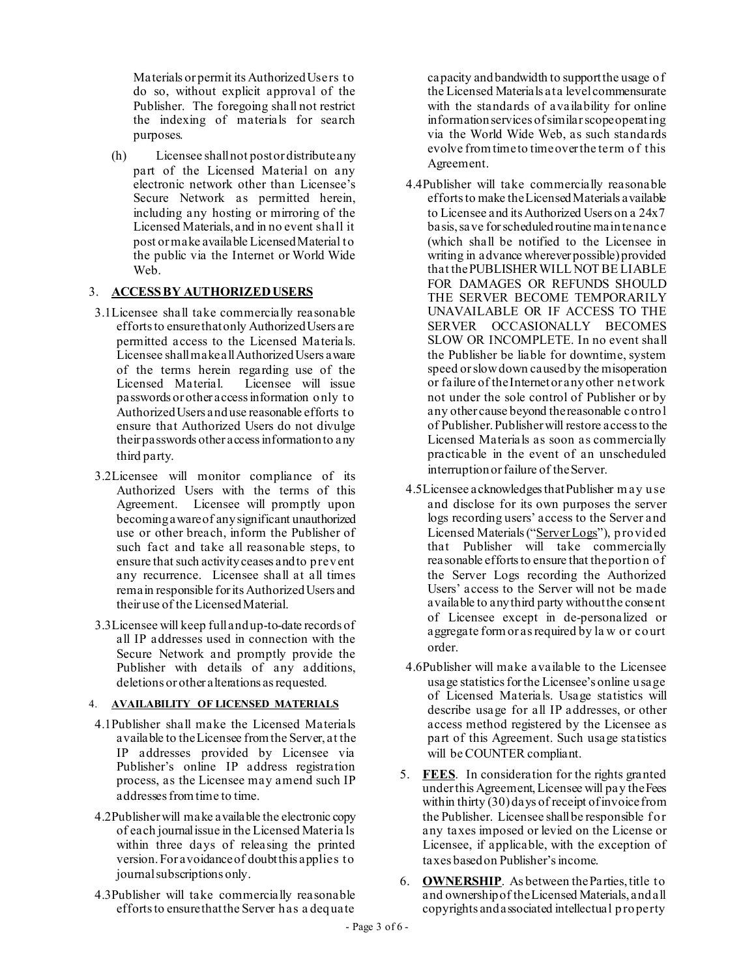Materials or permit its Authorized Users to do so, without explicit approval of the Publisher. The foregoing shall not restrict the indexing of materials for search purposes.

(h) Licensee shall not post or distribute any part of the Licensed Material on any electronic network other than Licensee's Secure Network as permitted herein, including any hosting or mirroring of the Licensed Materials, and in no event shall it post or make available Licensed Material to the public via the Internet or World Wide Web.

## 3. **ACCESS BY AUTHORIZED USERS**

- 3.1Licensee shall take commercially reasonable efforts to ensure that only Authorized Users are permitted access to the Licensed Materials. Licensee shall make all AuthorizedUsers aware of the terms herein regarding use of the Licensed Material. Licensee will issue passwords or other access information only to Authorized Users and use reasonable efforts to ensure that Authorized Users do not divulge their passwords other access information to any third party.
- 3.2Licensee will monitor compliance of its Authorized Users with the terms of this Agreement. Licensee will promptly upon becoming aware of any significant unauthorized use or other breach, inform the Publisher of such fact and take all reasonable steps, to ensure that such activity ceases and to prevent any recurrence. Licensee shall at all times remain responsible for its Authorized Users and their use of the Licensed Material.
- 3.3Licensee will keep full and up-to-date records of all IP addresses used in connection with the Secure Network and promptly provide the Publisher with details of any additions, deletions or other alterations as requested.

## 4. **AVAILABILITY OF LICENSED MATERIALS**

- 4.1Publisher shall make the Licensed Materials available to the Licensee from the Server, at the IP addresses provided by Licensee via Publisher's online IP address registration process, as the Licensee may amend such IP addresses from time to time.
- 4.2Publisher will make available the electronic copy of each journalissue in the Licensed Materia ls within three days of releasing the printed version.For avoidance of doubt this applies to journal subscriptions only.
- 4.3Publisher will take commercially reasonable efforts to ensure that the Server has a dequate

capacity and bandwidth to support the usage of the Licensed Materials at a level commensurate with the standards of availability for online information services ofsimilar scopeoperating via the World Wide Web, as such standards evolve from time to timeover the term of this Agreement.

- 4.4Publisher will take commercially reasonable efforts to make the Licensed Materials available to Licensee and its Authorized Users on a 24x7 basis, save for scheduled routine maintenance (which shall be notified to the Licensee in writing in advance wherever possible) provided that the PUBLISHER WILL NOT BE LIABLE FOR DAMAGES OR REFUNDS SHOULD THE SERVER BECOME TEMPORARILY UNAVAILABLE OR IF ACCESS TO THE SERVER OCCASIONALLY BECOMES SLOW OR INCOMPLETE. In no event shall the Publisher be liable for downtime, system speed or slow down caused by the misoperation or failure of the Internet or any other network not under the sole control of Publisher or by any other cause beyond the reasonable control of Publisher. Publisher will restore access to the Licensed Materials as soon as commercially practicable in the event of an unscheduled interruption or failure of the Server.
- 4.5Licensee acknowledges that Publisher m ay use and disclose for its own purposes the server logs recording users' access to the Server and Licensed Materials ("Server Logs"), provided that Publisher will take commercially reasonable efforts to ensure that the portion of the Server Logs recording the Authorized Users' access to the Server will not be made available to any third party without the consent of Licensee except in de-personalized or aggregate form or as required by la w or court order.
- 4.6Publisher will make available to the Licensee usage statistics for the Licensee's online usage of Licensed Materials. Usage statistics will describe usage for all IP addresses, or other access method registered by the Licensee as part of this Agreement. Such usage statistics will be COUNTER compliant.
- 5. **FEES**. In consideration for the rights granted under this Agreement, Licensee will pay the Fees within thirty (30) days of receipt of invoice from the Publisher. Licensee shall be responsible for any taxes imposed or levied on the License or Licensee, if applicable, with the exception of taxes based on Publisher's income.
- <span id="page-2-0"></span>6. **OWNERSHIP**. As between the Parties, title to and ownership of the Licensed Materials, and all copyrights and associated intellectual property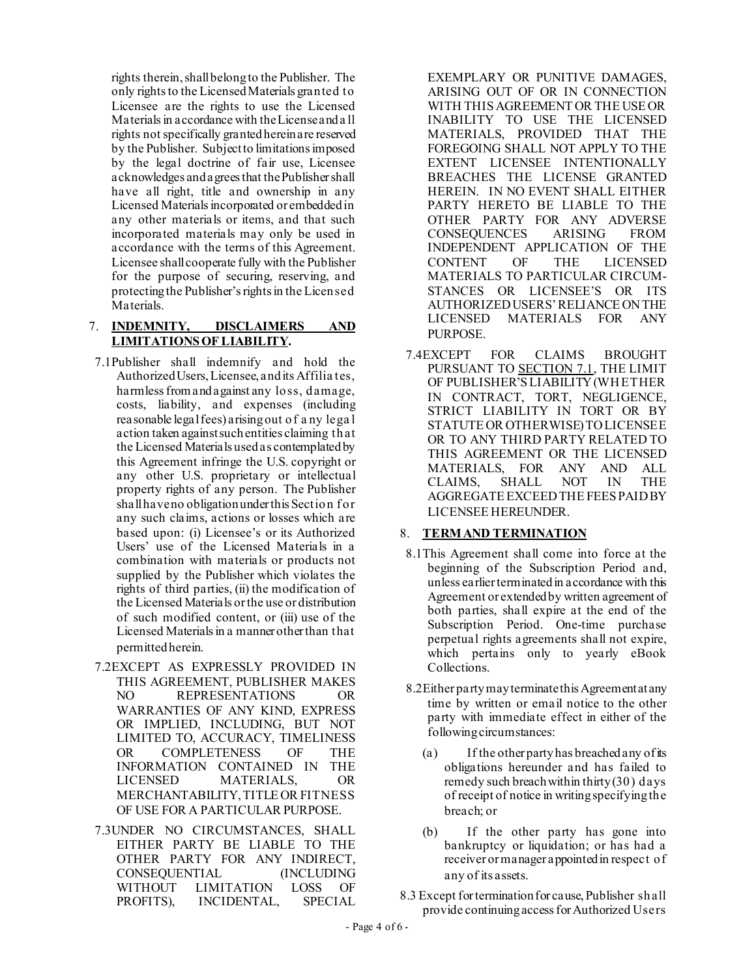rights therein, shall belong to the Publisher. The only rights to the Licensed Materials granted to Licensee are the rights to use the Licensed Materials in accordance with the License and a ll rights not specifically granted herein are reserved by the Publisher. Subject to limitations imposed by the legal doctrine of fair use, Licensee acknowledges and agrees that the Publisher shall have all right, title and ownership in any Licensed Materials incorporated or embedded in any other materials or items, and that such incorporated materials may only be used in accordance with the terms of this Agreement. Licensee shall cooperate fully with the Publisher for the purpose of securing, reserving, and protecting the Publisher's rights in the Licensed Materials.

## <span id="page-3-1"></span>7. **INDEMNITY, DISCLAIMERS AND LIMITATIONS OF LIABILITY.**

- <span id="page-3-0"></span>7.1Publisher shall indemnify and hold the Authorized Users, Licensee, and its Affilia tes, harmless from and against any loss, damage, costs, liability, and expenses (including reasonable legal fees) arising out of a ny lega l action taken against such entities claiming that the Licensed Materials used as contemplated by this Agreement infringe the U.S. copyright or any other U.S. proprietary or intellectual property rights of any person. The Publisher shall have no obligation under this Section for any such claims, actions or losses which are based upon: (i) Licensee's or its Authorized Users' use of the Licensed Materials in a combination with materials or products not supplied by the Publisher which violates the rights of third parties, (ii) the modification of the Licensed Materials or the use or distribution of such modified content, or (iii) use of the Licensed Materials in a manner other than that permitted herein.
- 7.2EXCEPT AS EXPRESSLY PROVIDED IN THIS AGREEMENT, PUBLISHER MAKES<br>NO REPRESENTATIONS OR REPRESENTATIONS OR WARRANTIES OF ANY KIND, EXPRESS OR IMPLIED, INCLUDING, BUT NOT LIMITED TO, ACCURACY, TIMELINESS OR COMPLETENESS OF THE INFORMATION CONTAINED IN THE LICENSED MATERIALS, OR MERCHANTABILITY,TITLE OR FITNESS OF USE FOR A PARTICULAR PURPOSE.
- 7.3UNDER NO CIRCUMSTANCES, SHALL EITHER PARTY BE LIABLE TO THE OTHER PARTY FOR ANY INDIRECT,<br>CONSEQUENTIAL (INCLUDING **CONSEQUENTIAL** WITHOUT LIMITATION LOSS OF PROFITS), INCIDENTAL, SPECIAL

EXEMPLARY OR PUNITIVE DAMAGES, ARISING OUT OF OR IN CONNECTION WITH THIS AGREEMENT OR THE USE OR INABILITY TO USE THE LICENSED MATERIALS, PROVIDED THAT THE FOREGOING SHALL NOT APPLY TO THE EXTENT LICENSEE INTENTIONALLY BREACHES THE LICENSE GRANTED HEREIN. IN NO EVENT SHALL EITHER PARTY HERETO BE LIABLE TO THE OTHER PARTY FOR ANY ADVERSE<br>CONSEOUENCES ARISING FROM CONSEQUENCES ARISING FROM INDEPENDENT APPLICATION OF THE CONTENT OF THE LICENSED MATERIALS TO PARTICULAR CIRCUM-STANCES OR LICENSEE'S OR ITS AUTHORIZED USERS' RELIANCE ON THE LICENSED MATERIALS FOR ANY PURPOSE.

7.4EXCEPT FOR CLAIMS BROUGHT PURSUANT TO SECTION [7.1,](#page-3-0) THE LIMIT OF PUBLISHER'S LIABILITY (WHETHER IN CONTRACT, TORT, NEGLIGENCE, STRICT LIABILITY IN TORT OR BY STATUTE OR OTHERWISE) TO LICENSEE OR TO ANY THIRD PARTY RELATED TO THIS AGREEMENT OR THE LICENSED MATERIALS, FOR ANY AND ALL CLAIMS, SHALL NOT IN AGGREGATE EXCEED THE FEES PAID BY LICENSEE HEREUNDER.

## 8. **TERM AND TERMINATION**

- 8.1This Agreement shall come into force at the beginning of the Subscription Period and, unless earlier terminated in accordance with this Agreement or extended by written agreement of both parties, shall expire at the end of the Subscription Period. One-time purchase perpetual rights agreements shall not expire, which pertains only to yearly eBook Collections.
- 8.2Either party may terminate this Agreement at any time by written or email notice to the other party with immediate effect in either of the following circumstances:
	- (a) If the other party has breached any of its obligations hereunder and has failed to remedy such breach within thirty (30) days of receipt of notice in writing specifying the breach; or
	- (b) If the other party has gone into bankruptcy or liquidation; or has had a receiver or manager appointed in respect of any of its assets.
- <span id="page-3-2"></span>8.3 Except for termination for cause, Publisher shall provide continuing access for Authorized Users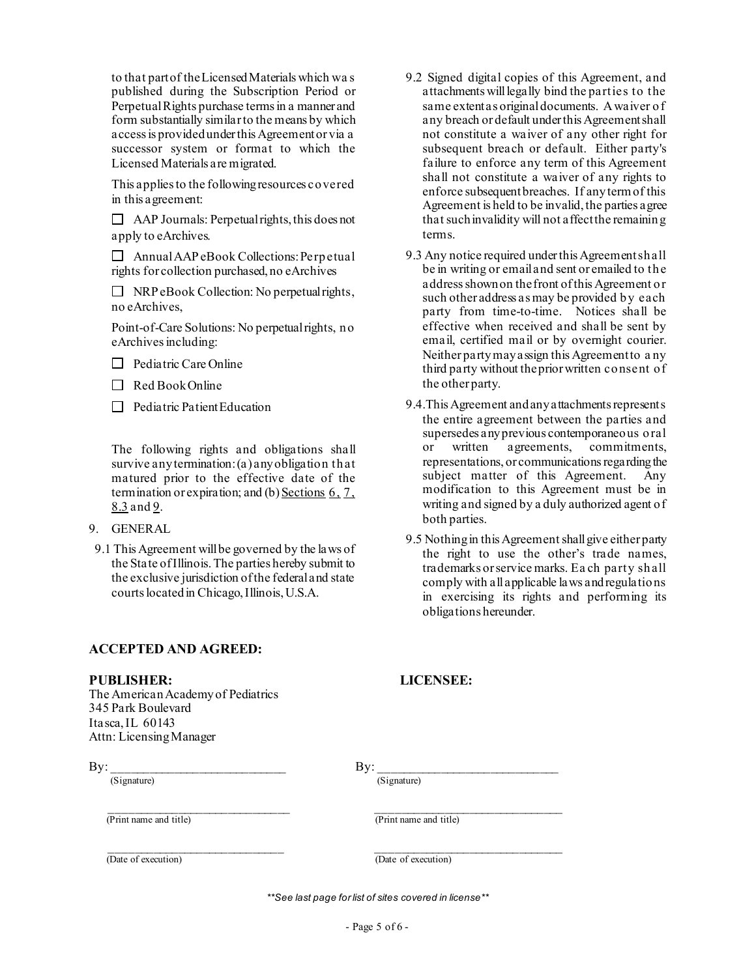to that part of the Licensed Materials which wa s published during the Subscription Period or Perpetual Rights purchase termsin a manner and form substantially similar to the means by which access is provided under this Agreement or via a successor system or format to which the Licensed Materials are migrated.

This applies to the followingresources covered in this agreement:

 $\Box$  AAP Journals: Perpetual rights, this does not apply to eArchives.

 $\Box$  Annual AAP eBook Collections: Perpetual rights for collection purchased, no eArchives

 $\Box$  NRP eBook Collection: No perpetual rights, no eArchives,

Point-of-Care Solutions: No perpetual rights, no eArchives including:

- $\Box$  Pediatric Care Online
- $\Box$  Red Book Online
- $\Box$  Pediatric Patient Education

The following rights and obligations shall survive anytermination: (a) any obligation that matured prior to the effective date of the termination or expiration; and (b) Sections  $6, 7$  $6, 7$ , [8.3](#page-3-2) and [9](#page-4-0).

- <span id="page-4-0"></span>9. GENERAL
- 9.1 This Agreement will be governed by the laws of the State of Illinois. The parties hereby submit to the exclusive jurisdiction of the federal and state courts locatedin Chicago, Illinois, U.S.A.

## **ACCEPTED AND AGREED:**

#### **PUBLISHER: LICENSEE:**

The American Academyof Pediatrics 345 Park Boulevard Itasca, IL 60143 Attn: Licensing Manager

 $\nonumber$ By:  $\frac{\text{By:}}{\text{(Signature)}}$ 

 $\overline{(\text{Print name and title})}$   $\overline{(\text{Print name and title})}$ 

The of execution Theorem and the securition of the of execution of the of execution of  $\overline{(\text{Date of execution})}$ 

*\*\*See last page for list of sites covered in license\*\**

- 9.2 Signed digital copies of this Agreement, and attachments will legally bind the parties to the same extent as original documents. A waiver of any breach or default under this Agreement shall not constitute a waiver of any other right for subsequent breach or default. Either party's failure to enforce any term of this Agreement shall not constitute a waiver of any rights to enforce subsequent breaches. If any term of this Agreement is held to be invalid, the parties agree that such invalidity will not affectthe remaining terms.
- 9.3 Any notice required under this Agreement shall be in writing or emailand sent or emailed to the address shown on the front of this Agreement or such other address as may be provided by each party from time-to-time. Notices shall be effective when received and shall be sent by email, certified mail or by overnight courier. Neither party may assign this Agreement to a ny third party without the prior written consent of the other party.
- 9.4.This Agreement and any attachments represents the entire agreement between the parties and supersedes any previous contemporaneous oral or written agreements, commitments, representations, or communications regarding the subject matter of this Agreement. Any modification to this Agreement must be in writing and signed by a duly authorized agent of both parties.
- 9.5 Nothing in this Agreement shall give either party the right to use the other's trade names, trademarks or service marks. Ea ch party shall comply with all applicable laws andregulations in exercising its rights and performing its obligations hereunder.